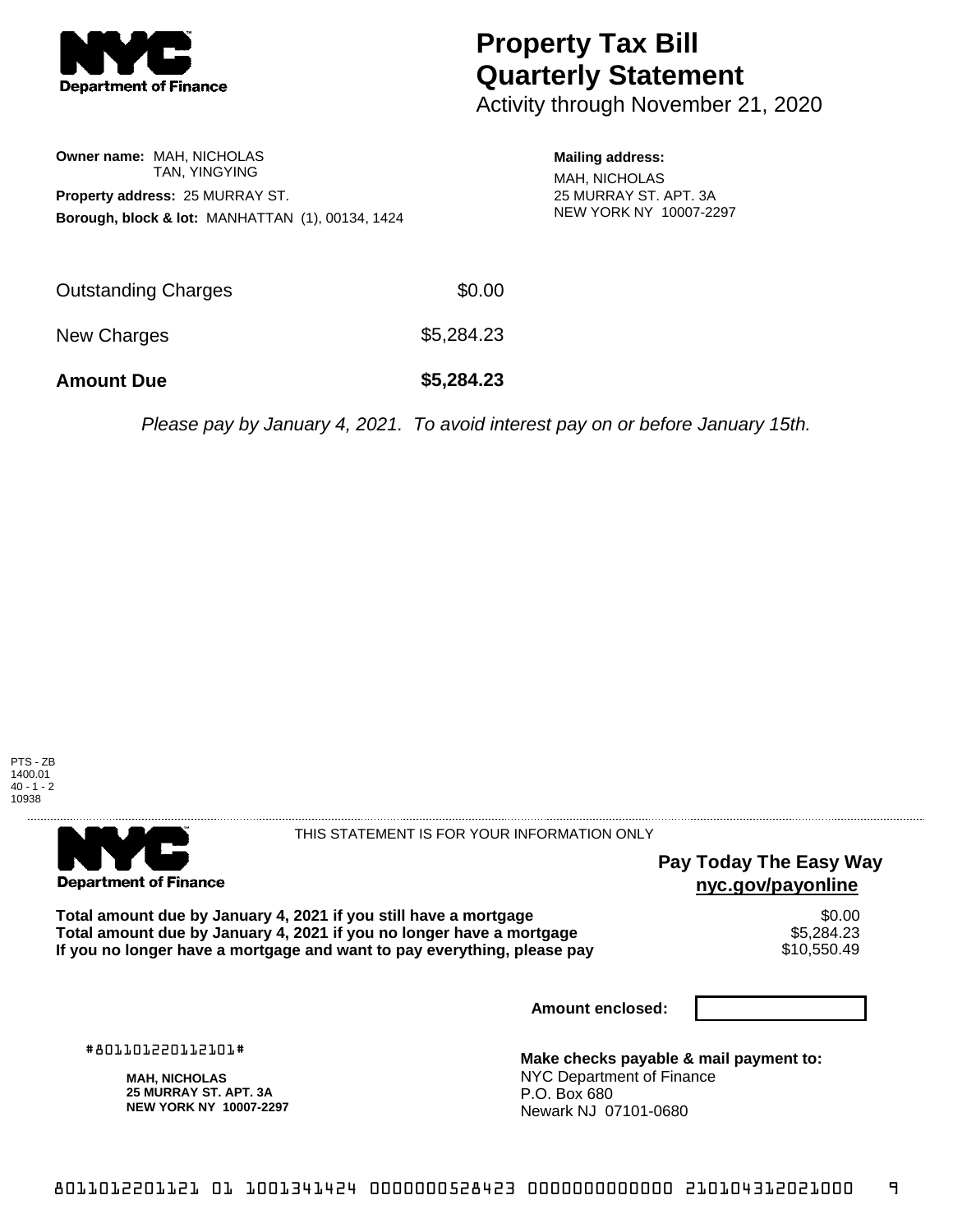

# **Property Tax Bill Quarterly Statement**

Activity through November 21, 2020

### **Owner name:** MAH, NICHOLAS TAN, YINGYING **Property address:** 25 MURRAY ST. **Borough, block & lot:** MANHATTAN (1), 00134, 1424

#### **Mailing address:**

MAH, NICHOLAS 25 MURRAY ST. APT. 3A NEW YORK NY 10007-2297

| <b>Amount Due</b>   | \$5,284.23 |
|---------------------|------------|
| New Charges         | \$5,284.23 |
| Outstanding Charges | \$0.00     |

Please pay by January 4, 2021. To avoid interest pay on or before January 15th.





#### THIS STATEMENT IS FOR YOUR INFORMATION ONLY

## **Pay Today The Easy Way nyc.gov/payonline**

Total amount due by January 4, 2021 if you still have a mortgage  $$6.00$ <br>Total amount due by January 4, 2021 if you no longer have a mortgage  $$5,284.23$ **Total amount due by January 4, 2021 if you no longer have a mortgage \$5,284.23**<br>If you no longer have a mortgage and want to pay everything, please pay \$10,550.49 If you no longer have a mortgage and want to pay everything, please pay

**Amount enclosed:**

#801101220112101#

**MAH, NICHOLAS 25 MURRAY ST. APT. 3A NEW YORK NY 10007-2297**

**Make checks payable & mail payment to:** NYC Department of Finance P.O. Box 680 Newark NJ 07101-0680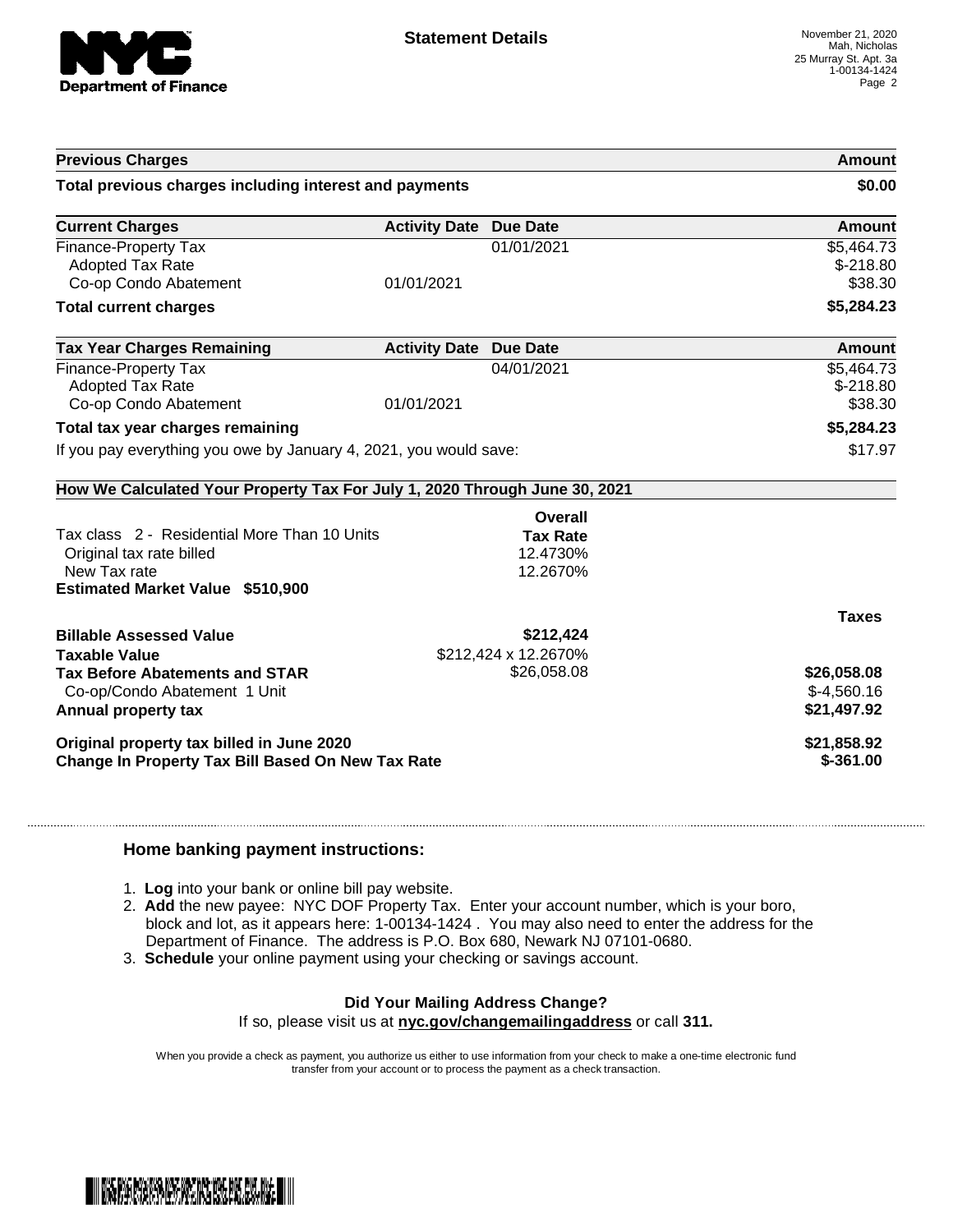

| <b>Previous Charges</b>                                                                                                             |                               |                                         | Amount                                     |
|-------------------------------------------------------------------------------------------------------------------------------------|-------------------------------|-----------------------------------------|--------------------------------------------|
| Total previous charges including interest and payments                                                                              |                               | \$0.00                                  |                                            |
| <b>Current Charges</b>                                                                                                              | <b>Activity Date Due Date</b> |                                         | Amount                                     |
| Finance-Property Tax<br><b>Adopted Tax Rate</b><br>Co-op Condo Abatement                                                            | 01/01/2021                    | 01/01/2021                              | \$5,464.73<br>$$-218.80$<br>\$38.30        |
| <b>Total current charges</b>                                                                                                        |                               |                                         | \$5,284.23                                 |
| <b>Tax Year Charges Remaining</b>                                                                                                   | <b>Activity Date Due Date</b> |                                         | Amount                                     |
| Finance-Property Tax<br><b>Adopted Tax Rate</b><br>Co-op Condo Abatement                                                            | 01/01/2021                    | 04/01/2021                              | \$5,464.73<br>$$-218.80$<br>\$38.30        |
| Total tax year charges remaining                                                                                                    |                               |                                         | \$5,284.23                                 |
| If you pay everything you owe by January 4, 2021, you would save:                                                                   |                               | \$17.97                                 |                                            |
| How We Calculated Your Property Tax For July 1, 2020 Through June 30, 2021                                                          |                               |                                         |                                            |
|                                                                                                                                     |                               | Overall                                 |                                            |
| Tax class 2 - Residential More Than 10 Units<br>Original tax rate billed<br>New Tax rate<br><b>Estimated Market Value \$510,900</b> |                               | <b>Tax Rate</b><br>12.4730%<br>12.2670% |                                            |
|                                                                                                                                     |                               |                                         | <b>Taxes</b>                               |
| <b>Billable Assessed Value</b><br><b>Taxable Value</b>                                                                              |                               | \$212,424<br>\$212,424 x 12.2670%       |                                            |
| <b>Tax Before Abatements and STAR</b><br>Co-op/Condo Abatement 1 Unit<br>Annual property tax                                        |                               | \$26,058.08                             | \$26,058.08<br>$$-4,560.16$<br>\$21,497.92 |
| Original property tax billed in June 2020<br>Change In Property Tax Bill Based On New Tax Rate                                      |                               |                                         | \$21,858.92<br>$$-361.00$                  |

#### **Home banking payment instructions:**

- 1. **Log** into your bank or online bill pay website.
- 2. **Add** the new payee: NYC DOF Property Tax. Enter your account number, which is your boro, block and lot, as it appears here: 1-00134-1424 . You may also need to enter the address for the Department of Finance. The address is P.O. Box 680, Newark NJ 07101-0680.
- 3. **Schedule** your online payment using your checking or savings account.

## **Did Your Mailing Address Change?**

If so, please visit us at **nyc.gov/changemailingaddress** or call **311.**

When you provide a check as payment, you authorize us either to use information from your check to make a one-time electronic fund transfer from your account or to process the payment as a check transaction.